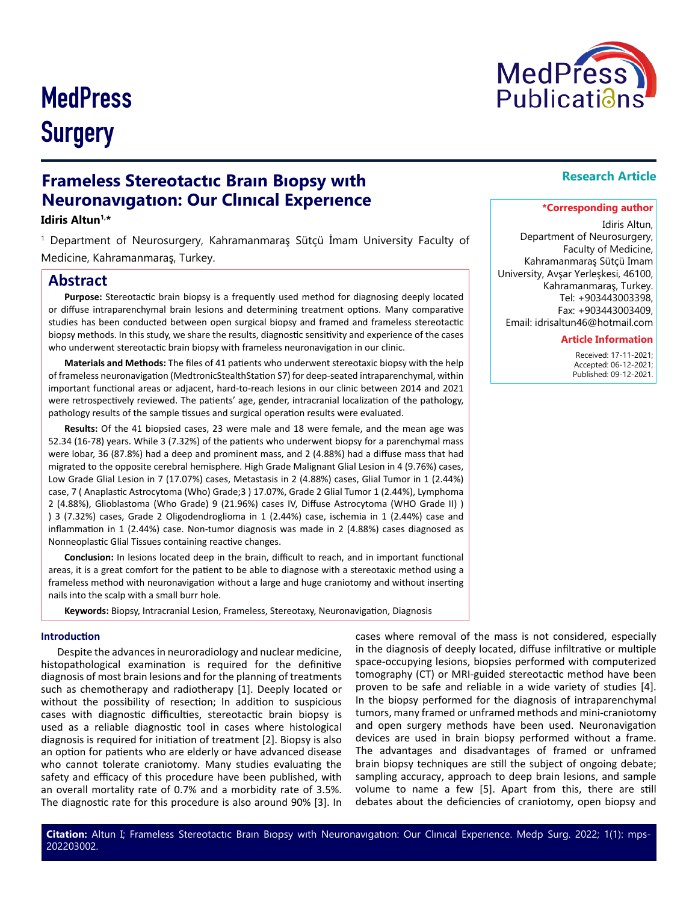# **MedPress Surgery**

# **Frameless Stereotactıc Braın Bıopsy wıth Neuronavıgatıon: Our Clınıcal Experıence**

### **Idiris Altun1,\***

1 Department of Neurosurgery, Kahramanmaraş Sütçü İmam University Faculty of Medicine, Kahramanmaraş, Turkey.

### **Abstract**

**Purpose:** Stereotactic brain biopsy is a frequently used method for diagnosing deeply located or diffuse intraparenchymal brain lesions and determining treatment options. Many comparative studies has been conducted between open surgical biopsy and framed and frameless stereotactic biopsy methods. In this study, we share the results, diagnostic sensitivity and experience of the cases who underwent stereotactic brain biopsy with frameless neuronavigation in our clinic.

**Materials and Methods:** The files of 41 patients who underwent stereotaxic biopsy with the help of frameless neuronavigation (MedtronicStealthStation S7) for deep-seated intraparenchymal, within important functional areas or adjacent, hard-to-reach lesions in our clinic between 2014 and 2021 were retrospectively reviewed. The patients' age, gender, intracranial localization of the pathology, pathology results of the sample tissues and surgical operation results were evaluated.

**Results:** Of the 41 biopsied cases, 23 were male and 18 were female, and the mean age was 52.34 (16-78) years. While 3 (7.32%) of the patients who underwent biopsy for a parenchymal mass were lobar, 36 (87.8%) had a deep and prominent mass, and 2 (4.88%) had a diffuse mass that had migrated to the opposite cerebral hemisphere. High Grade Malignant Glial Lesion in 4 (9.76%) cases, Low Grade Glial Lesion in 7 (17.07%) cases, Metastasis in 2 (4.88%) cases, Glial Tumor in 1 (2.44%) case, 7 ( Anaplastic Astrocytoma (Who) Grade;3 ) 17.07%, Grade 2 Glial Tumor 1 (2.44%), Lymphoma 2 (4.88%), Glioblastoma (Who Grade) 9 (21.96%) cases IV, Diffuse Astrocytoma (WHO Grade II) ) ) 3 (7.32%) cases, Grade 2 Oligodendroglioma in 1 (2.44%) case, ischemia in 1 (2.44%) case and inflammation in 1 (2.44%) case. Non-tumor diagnosis was made in 2 (4.88%) cases diagnosed as Nonneoplastic Glial Tissues containing reactive changes.

**Conclusion:** In lesions located deep in the brain, difficult to reach, and in important functional areas, it is a great comfort for the patient to be able to diagnose with a stereotaxic method using a frameless method with neuronavigation without a large and huge craniotomy and without inserting nails into the scalp with a small burr hole.

**Keywords:** Biopsy, Intracranial Lesion, Frameless, Stereotaxy, Neuronavigation, Diagnosis

#### **Introduction**

Despite the advances in neuroradiology and nuclear medicine, histopathological examination is required for the definitive diagnosis of most brain lesions and for the planning of treatments such as chemotherapy and radiotherapy [1]. Deeply located or without the possibility of resection; In addition to suspicious cases with diagnostic difficulties, stereotactic brain biopsy is used as a reliable diagnostic tool in cases where histological diagnosis is required for initiation of treatment [2]. Biopsy is also an option for patients who are elderly or have advanced disease who cannot tolerate craniotomy. Many studies evaluating the safety and efficacy of this procedure have been published, with an overall mortality rate of 0.7% and a morbidity rate of 3.5%. The diagnostic rate for this procedure is also around 90% [3]. In

cases where removal of the mass is not considered, especially in the diagnosis of deeply located, diffuse infiltrative or multiple space-occupying lesions, biopsies performed with computerized tomography (CT) or MRI-guided stereotactic method have been proven to be safe and reliable in a wide variety of studies [4]. In the biopsy performed for the diagnosis of intraparenchymal tumors, many framed or unframed methods and mini-craniotomy and open surgery methods have been used. Neuronavigation devices are used in brain biopsy performed without a frame. The advantages and disadvantages of framed or unframed brain biopsy techniques are still the subject of ongoing debate; sampling accuracy, approach to deep brain lesions, and sample volume to name a few [5]. Apart from this, there are still debates about the deficiencies of craniotomy, open biopsy and

## **Research Article**

#### **\*Corresponding author**

Idiris Altun, Department of Neurosurgery, Faculty of Medicine, Kahramanmaraş Sütçü Imam University, Avşar Yerleşkesi, 46100, Kahramanmaraş, Turkey. Tel: +903443003398, Fax: +903443003409, Email: idrisaltun46@hotmail.com

#### **Article Information**

 Received: 17-11-2021; Accepted: 06-12-2021; Published: 09-12-2021.

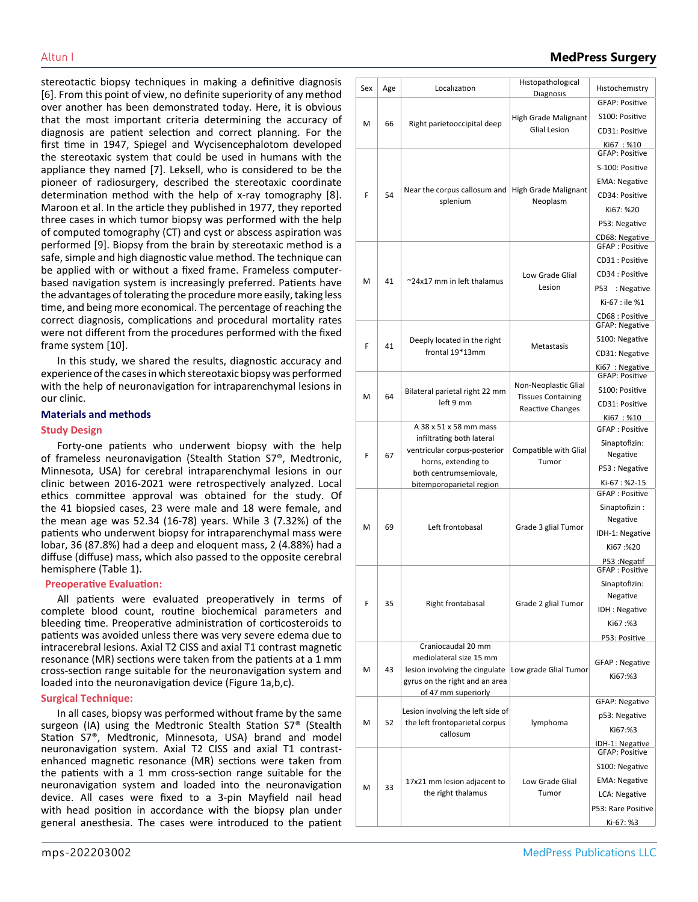stereotactic biopsy techniques in making a definitive diagnosis [6]. From this point of view, no definite superiority of any method over another has been demonstrated today. Here, it is obvious that the most important criteria determining the accuracy of diagnosis are patient selection and correct planning. For the first time in 1947, Spiegel and Wycisencephalotom developed the stereotaxic system that could be used in humans with the appliance they named [7]. Leksell, who is considered to be the pioneer of radiosurgery, described the stereotaxic coordinate determination method with the help of x-ray tomography [8]. Maroon et al. In the article they published in 1977, they reported three cases in which tumor biopsy was performed with the help of computed tomography (CT) and cyst or abscess aspiration was performed [9]. Biopsy from the brain by stereotaxic method is a safe, simple and high diagnostic value method. The technique can be applied with or without a fixed frame. Frameless computerbased navigation system is increasingly preferred. Patients have the advantages of tolerating the procedure more easily, taking less time, and being more economical. The percentage of reaching the correct diagnosis, complications and procedural mortality rates were not different from the procedures performed with the fixed frame system [10].

In this study, we shared the results, diagnostic accuracy and experience of the cases in which stereotaxic biopsy was performed with the help of neuronavigation for intraparenchymal lesions in our clinic.

#### **Materials and methods**

#### **Study Design**

Forty-one patients who underwent biopsy with the help of frameless neuronavigation (Stealth Station S7®, Medtronic, Minnesota, USA) for cerebral intraparenchymal lesions in our clinic between 2016-2021 were retrospectively analyzed. Local ethics committee approval was obtained for the study. Of the 41 biopsied cases, 23 were male and 18 were female, and the mean age was 52.34 (16-78) years. While 3 (7.32%) of the patients who underwent biopsy for intraparenchymal mass were lobar, 36 (87.8%) had a deep and eloquent mass, 2 (4.88%) had a diffuse (diffuse) mass, which also passed to the opposite cerebral hemisphere (Table 1).

#### **Preoperative Evaluation:**

All patients were evaluated preoperatively in terms of complete blood count, routine biochemical parameters and bleeding time. Preoperative administration of corticosteroids to patients was avoided unless there was very severe edema due to intracerebral lesions. Axial T2 CISS and axial T1 contrast magnetic resonance (MR) sections were taken from the patients at a 1 mm cross-section range suitable for the neuronavigation system and loaded into the neuronavigation device (Figure 1a,b,c).

#### **Surgical Technique:**

In all cases, biopsy was performed without frame by the same surgeon (IA) using the Medtronic Stealth Station S7® (Stealth Station S7®, Medtronic, Minnesota, USA) brand and model neuronavigation system. Axial T2 CISS and axial T1 contrastenhanced magnetic resonance (MR) sections were taken from the patients with a 1 mm cross-section range suitable for the neuronavigation system and loaded into the neuronavigation device. All cases were fixed to a 3-pin Mayfield nail head with head position in accordance with the biopsy plan under general anesthesia. The cases were introduced to the patient

| Altun I | <b>MedPress Surgery</b> |
|---------|-------------------------|
|---------|-------------------------|

| Sex | Age | Localization                                                                                                                             | Histopathological<br>Diagnosis                                               | Histochemistry                                                                                                                         |
|-----|-----|------------------------------------------------------------------------------------------------------------------------------------------|------------------------------------------------------------------------------|----------------------------------------------------------------------------------------------------------------------------------------|
| M   | 66  | Right parietooccipital deep                                                                                                              | <b>High Grade Malignant</b><br><b>Glial Lesion</b>                           | <b>GFAP: Positive</b><br>S100: Positive                                                                                                |
|     |     |                                                                                                                                          |                                                                              | CD31: Positive<br>Ki67: %10<br><b>GFAP: Positive</b>                                                                                   |
| F   | 54  | Near the corpus callosum and<br>splenium                                                                                                 | <b>High Grade Malignant</b><br>Neoplasm                                      | S-100: Positive<br><b>EMA: Negative</b><br>CD34: Positive                                                                              |
|     |     |                                                                                                                                          |                                                                              | Ki67: %20<br>P53: Negative<br>CD68: Negative                                                                                           |
| M   | 41  | ~24x17 mm in left thalamus                                                                                                               | Low Grade Glial<br>Lesion                                                    | <b>GFAP: Positive</b><br>CD31 : Positive<br>CD34 : Positive<br>P53<br>: Negative<br>Ki-67 : ile %1<br>CD68 : Positive                  |
| F   | 41  | Deeply located in the right<br>frontal 19*13mm                                                                                           | Metastasis                                                                   | <b>GFAP: Negative</b><br>S100: Negative<br>CD31: Negative<br>Ki67: Negative                                                            |
| M   | 64  | Bilateral parietal right 22 mm<br>left 9 mm                                                                                              | Non-Neoplastic Glial<br><b>Tissues Containing</b><br><b>Reactive Changes</b> | <b>GFAP: Positive</b><br>S100: Positive<br>CD31: Positive<br>Ki67 : %10                                                                |
| F   | 67  | A 38 x 51 x 58 mm mass<br>infiltrating both lateral<br>ventricular corpus-posterior<br>horns, extending to<br>both centrumsemiovale,     | Compatible with Glial<br>Tumor                                               | <b>GFAP: Positive</b><br>Sinaptofizin:<br>Negative<br>P53 : Negative<br>Ki-67: %2-15                                                   |
| M   | 69  | bitemporoparietal region<br>Left frontobasal                                                                                             | Grade 3 glial Tumor                                                          | <b>GFAP: Positive</b><br>Sinaptofizin:<br>Negative<br>IDH-1: Negative<br>Ki67:%20<br>P53: Negatif                                      |
| F   | 35  | Right frontabasal                                                                                                                        | Grade 2 glial Tumor                                                          | <b>GFAP: Positive</b><br>Sinaptofizin:<br>Negative<br>IDH: Negative<br>Ki67:%3<br>P53: Positive                                        |
| M   | 43  | Craniocaudal 20 mm<br>mediolateral size 15 mm<br>lesion involving the cingulate<br>gyrus on the right and an area<br>of 47 mm superiorly | Low grade Glial Tumor                                                        | <b>GFAP: Negative</b><br>Ki67:%3                                                                                                       |
| M   | 52  | Lesion involving the left side of<br>the left frontoparietal corpus<br>callosum                                                          | lymphoma                                                                     | <b>GFAP: Negative</b><br>p53: Negative<br>Ki67:%3                                                                                      |
| M   | 33  | 17x21 mm lesion adjacent to<br>the right thalamus                                                                                        | Low Grade Glial<br>Tumor                                                     | IDH-1: Negative<br><b>GFAP: Positive</b><br>S100: Negative<br><b>EMA: Negative</b><br>LCA: Negative<br>P53: Rare Positive<br>Ki-67: %3 |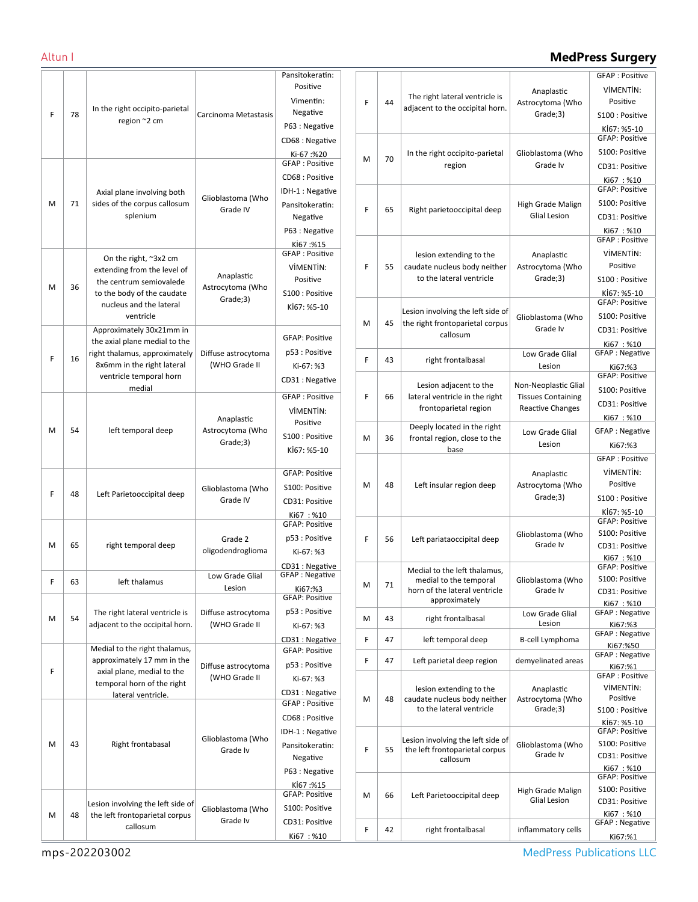# Altun I **MedPress Surgery**

|   |    |                                                                                                                                          |                                            | Pansitokeratin:                          |
|---|----|------------------------------------------------------------------------------------------------------------------------------------------|--------------------------------------------|------------------------------------------|
|   |    |                                                                                                                                          |                                            | Positive                                 |
|   |    |                                                                                                                                          |                                            | Vimentin:                                |
| F | 78 | In the right occipito-parietal                                                                                                           | Carcinoma Metastasis                       | Negative                                 |
|   |    | region ~2 cm                                                                                                                             |                                            | P63 : Negative                           |
|   |    |                                                                                                                                          |                                            | CD68 : Negative                          |
|   |    |                                                                                                                                          |                                            | Ki-67:%20                                |
|   |    |                                                                                                                                          |                                            | GFAP: Positive                           |
|   |    |                                                                                                                                          |                                            | CD68: Positive                           |
|   |    | Axial plane involving both<br>sides of the corpus callosum<br>splenium                                                                   | Glioblastoma (Who<br>Grade IV              | IDH-1 : Negative                         |
| M | 71 |                                                                                                                                          |                                            | Pansitokeratin:                          |
|   |    |                                                                                                                                          |                                            | Negative                                 |
|   |    |                                                                                                                                          |                                            | P63 : Negative                           |
|   |    |                                                                                                                                          |                                            | Kİ67 :%15<br><b>GFAP: Positive</b>       |
|   |    | On the right, ~3x2 cm<br>extending from the level of<br>the centrum semiovalede<br>to the body of the caudate<br>nucleus and the lateral | Anaplastic<br>Astrocytoma (Who<br>Grade;3) | VİMENTİN:                                |
|   |    |                                                                                                                                          |                                            | Positive                                 |
| M | 36 |                                                                                                                                          |                                            | S100 : Positive                          |
|   |    |                                                                                                                                          |                                            | Kİ67: %5-10                              |
|   |    | ventricle                                                                                                                                |                                            |                                          |
|   |    | Approximately 30x21mm in                                                                                                                 |                                            |                                          |
|   |    | the axial plane medial to the                                                                                                            |                                            | <b>GFAP: Positive</b>                    |
| F | 16 | right thalamus, approximately                                                                                                            | Diffuse astrocytoma                        | p53 : Positive                           |
|   |    | 8x6mm in the right lateral                                                                                                               | (WHO Grade II                              | Ki-67: %3                                |
|   |    | ventricle temporal horn                                                                                                                  |                                            | CD31 : Negative                          |
|   |    | medial                                                                                                                                   |                                            | <b>GFAP: Positive</b>                    |
|   |    |                                                                                                                                          |                                            | VİMENTİN:                                |
|   |    |                                                                                                                                          | Anaplastic                                 | Positive                                 |
| M | 54 | left temporal deep                                                                                                                       | Astrocytoma (Who                           | S100 : Positive                          |
|   |    |                                                                                                                                          | Grade;3)                                   | Kİ67: %5-10                              |
|   |    |                                                                                                                                          |                                            |                                          |
|   |    |                                                                                                                                          |                                            | <b>GFAP: Positive</b>                    |
| F | 48 | Left Parietooccipital deep                                                                                                               | Glioblastoma (Who<br>Grade IV              | S100: Positive                           |
|   |    |                                                                                                                                          |                                            | CD31: Positive                           |
|   |    |                                                                                                                                          |                                            | Ki67: %10<br><b>GFAP: Positive</b>       |
|   |    |                                                                                                                                          |                                            | p53 : Positive                           |
| M | 65 | right temporal deep                                                                                                                      | Grade 2<br>oligodendroglioma               | Ki-67: %3                                |
|   |    |                                                                                                                                          |                                            |                                          |
|   |    |                                                                                                                                          | Low Grade Glial                            | CD31 : Negative<br><b>GFAP: Negative</b> |
| F | 63 | left thalamus                                                                                                                            | Lesion                                     | Ki67:%3                                  |
|   |    |                                                                                                                                          |                                            | <b>GFAP: Positive</b>                    |
| M | 54 | The right lateral ventricle is<br>adjacent to the occipital horn.                                                                        | Diffuse astrocytoma                        | p53 : Positive                           |
|   |    |                                                                                                                                          | (WHO Grade II                              | Ki-67: %3                                |
|   |    |                                                                                                                                          |                                            | CD31 : Negative                          |
|   |    | Medial to the right thalamus,<br>approximately 17 mm in the                                                                              | Diffuse astrocytoma                        | <b>GFAP: Positive</b>                    |
| F |    | axial plane, medial to the<br>temporal horn of the right<br>lateral ventricle.                                                           |                                            | p53 : Positive                           |
|   |    |                                                                                                                                          | (WHO Grade II                              | Ki-67: %3                                |
|   |    |                                                                                                                                          |                                            | CD31 : Negative                          |
|   |    |                                                                                                                                          |                                            | <b>GFAP: Positive</b>                    |
|   |    |                                                                                                                                          | Glioblastoma (Who<br>Grade Iv              | CD68 : Positive                          |
|   | 43 | Right frontabasal                                                                                                                        |                                            | IDH-1 : Negative                         |
| M |    |                                                                                                                                          |                                            | Pansitokeratin:                          |
|   |    |                                                                                                                                          |                                            | Negative                                 |
|   |    |                                                                                                                                          |                                            | P63 : Negative                           |
|   |    |                                                                                                                                          | Glioblastoma (Who<br>Grade Iv              | Kİ67:%15<br><b>GFAP: Positive</b>        |
| M |    | Lesion involving the left side of<br>the left frontoparietal corpus<br>callosum                                                          |                                            | S100: Positive                           |
|   | 48 |                                                                                                                                          |                                            |                                          |
|   |    |                                                                                                                                          |                                            | CD31: Positive                           |
|   |    |                                                                                                                                          |                                            | Ki67:%10                                 |

|   |    |                                                             |                                                   | <b>GFAP: Positive</b>                   |
|---|----|-------------------------------------------------------------|---------------------------------------------------|-----------------------------------------|
|   |    | The right lateral ventricle is                              | Anaplastic                                        | VİMENTİN:                               |
| F | 44 | adjacent to the occipital horn.                             | Astrocytoma (Who                                  | Positive                                |
|   |    |                                                             | Grade;3)                                          | S100 : Positive                         |
|   |    |                                                             |                                                   | Kİ67: %5-10                             |
|   |    |                                                             |                                                   | <b>GFAP: Positive</b>                   |
| M | 70 | In the right occipito-parietal                              | Glioblastoma (Who                                 | S100: Positive                          |
|   |    | region                                                      | Grade Iv                                          | CD31: Positive                          |
|   |    |                                                             |                                                   | Ki67:%10<br><b>GFAP: Positive</b>       |
|   |    |                                                             | High Grade Malign                                 | S100: Positive                          |
| F | 65 | Right parietooccipital deep                                 | <b>Glial Lesion</b>                               | CD31: Positive                          |
|   |    |                                                             |                                                   | Ki67: %10                               |
|   |    |                                                             |                                                   | <b>GFAP: Positive</b>                   |
|   |    | lesion extending to the                                     | Anaplastic                                        | VİMENTİN:                               |
| F | 55 | caudate nucleus body neither                                | Astrocytoma (Who                                  | Positive                                |
|   |    | to the lateral ventricle                                    | Grade;3)                                          | S100 : Positive                         |
|   |    |                                                             |                                                   | Kİ67: %5-10                             |
|   |    | Lesion involving the left side of                           |                                                   | <b>GFAP: Positive</b>                   |
| M | 45 | the right frontoparietal corpus                             | Glioblastoma (Who                                 | S100: Positive                          |
|   |    | callosum                                                    | Grade Iv                                          | CD31: Positive                          |
|   |    |                                                             | Low Grade Glial                                   | Ki67: %10<br><b>GFAP: Negative</b>      |
| F | 43 | right frontalbasal                                          | Lesion                                            | Ki67:%3                                 |
|   |    |                                                             |                                                   | <b>GFAP: Positive</b>                   |
| F | 66 | Lesion adjacent to the<br>lateral ventricle in the right    | Non-Neoplastic Glial<br><b>Tissues Containing</b> | S100: Positive                          |
|   |    | frontoparietal region                                       | <b>Reactive Changes</b>                           | CD31: Positive                          |
|   |    |                                                             |                                                   | Ki67:%10                                |
| M | 36 | Deeply located in the right<br>frontal region, close to the | Low Grade Glial                                   | <b>GFAP: Negative</b>                   |
|   |    | base                                                        | Lesion                                            | Ki67:%3                                 |
|   |    |                                                             |                                                   | <b>GFAP: Positive</b>                   |
|   |    |                                                             | Anaplastic                                        | VİMENTİN:                               |
| M | 48 | Left insular region deep                                    | Astrocytoma (Who                                  | Positive                                |
|   |    |                                                             | Grade;3)                                          | S100 : Positive                         |
|   |    |                                                             |                                                   | Kİ67: %5-10<br><b>GFAP: Positive</b>    |
|   |    |                                                             | Glioblastoma (Who                                 | S100: Positive                          |
| F | 56 | Left pariataoccipital deep                                  | Grade Iv                                          | CD31: Positive                          |
|   |    |                                                             |                                                   | Ki67:%10                                |
|   |    | Medial to the left thalamus,                                |                                                   | <b>GFAP: Positive</b><br>S100: Positive |
| М | 71 | medial to the temporal<br>horn of the lateral ventricle     | Glioblastoma (Who<br>Grade Iv                     | CD31: Positive                          |
|   |    | approximately                                               |                                                   | Ki67: %10                               |
| M | 43 | right frontalbasal                                          | Low Grade Glial                                   | <b>GFAP: Negative</b>                   |
|   |    |                                                             | Lesion                                            | Ki67:%3<br><b>GFAP: Negative</b>        |
| F | 47 | left temporal deep                                          | B-cell Lymphoma                                   | Ki67:%50                                |
| F | 47 | Left parietal deep region                                   | demyelinated areas                                | <b>GFAP: Negative</b>                   |
|   |    |                                                             |                                                   | Ki67:%1<br><b>GFAP: Positive</b>        |
|   |    | lesion extending to the                                     | Anaplastic                                        | VİMENTİN:                               |
| M | 48 | caudate nucleus body neither                                | Astrocytoma (Who                                  | Positive                                |
|   |    | to the lateral ventricle                                    | Grade;3)                                          | S100 : Positive                         |
|   |    |                                                             |                                                   | Kİ67: %5-10<br><b>GFAP: Positive</b>    |
|   |    | Lesion involving the left side of                           | Glioblastoma (Who                                 | S100: Positive                          |
| F | 55 | the left frontoparietal corpus<br>callosum                  | Grade Iv                                          | CD31: Positive                          |
|   |    |                                                             |                                                   | Ki67:%10                                |
|   |    |                                                             |                                                   | <b>GFAP: Positive</b>                   |
| M | 66 | Left Parietooccipital deep                                  | High Grade Malign<br><b>Glial Lesion</b>          | S100: Positive<br>CD31: Positive        |
|   |    |                                                             |                                                   | Ki67:%10                                |
| F | 42 | right frontalbasal                                          | inflammatory cells                                | <b>GFAP: Negative</b>                   |
|   |    |                                                             |                                                   | Ki67:%1                                 |

MedPress Publications LLC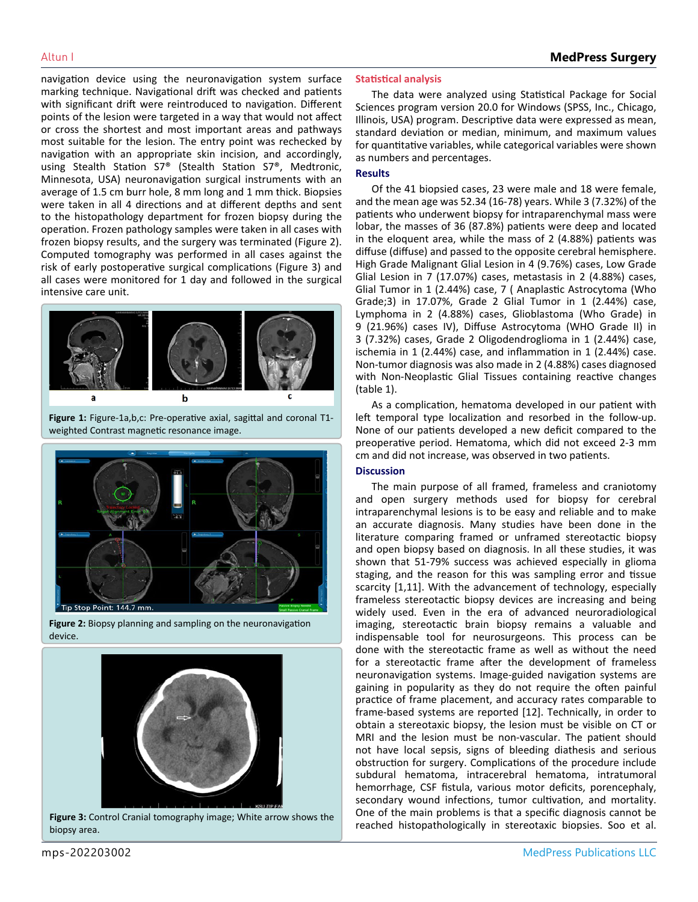navigation device using the neuronavigation system surface marking technique. Navigational drift was checked and patients with significant drift were reintroduced to navigation. Different points of the lesion were targeted in a way that would not affect or cross the shortest and most important areas and pathways most suitable for the lesion. The entry point was rechecked by navigation with an appropriate skin incision, and accordingly, using Stealth Station S7® (Stealth Station S7®, Medtronic, Minnesota, USA) neuronavigation surgical instruments with an average of 1.5 cm burr hole, 8 mm long and 1 mm thick. Biopsies were taken in all 4 directions and at different depths and sent to the histopathology department for frozen biopsy during the operation. Frozen pathology samples were taken in all cases with frozen biopsy results, and the surgery was terminated (Figure 2). Computed tomography was performed in all cases against the risk of early postoperative surgical complications (Figure 3) and all cases were monitored for 1 day and followed in the surgical intensive care unit.



**Figure 1:** Figure-1a,b,c: Pre-operative axial, sagittal and coronal T1 weighted Contrast magnetic resonance image.



**Figure 2:** Biopsy planning and sampling on the neuronavigation device.



biopsy area.

### **Statistical analysis**

The data were analyzed using Statistical Package for Social Sciences program version 20.0 for Windows (SPSS, Inc., Chicago, Illinois, USA) program. Descriptive data were expressed as mean, standard deviation or median, minimum, and maximum values for quantitative variables, while categorical variables were shown as numbers and percentages.

#### **Results**

Of the 41 biopsied cases, 23 were male and 18 were female, and the mean age was 52.34 (16-78) years. While 3 (7.32%) of the patients who underwent biopsy for intraparenchymal mass were lobar, the masses of 36 (87.8%) patients were deep and located in the eloquent area, while the mass of 2 (4.88%) patients was diffuse (diffuse) and passed to the opposite cerebral hemisphere. High Grade Malignant Glial Lesion in 4 (9.76%) cases, Low Grade Glial Lesion in 7 (17.07%) cases, metastasis in 2 (4.88%) cases, Glial Tumor in 1 (2.44%) case, 7 ( Anaplastic Astrocytoma (Who Grade;3) in 17.07%, Grade 2 Glial Tumor in 1 (2.44%) case, Lymphoma in 2 (4.88%) cases, Glioblastoma (Who Grade) in 9 (21.96%) cases IV), Diffuse Astrocytoma (WHO Grade II) in 3 (7.32%) cases, Grade 2 Oligodendroglioma in 1 (2.44%) case, ischemia in 1 (2.44%) case, and inflammation in 1 (2.44%) case. Non-tumor diagnosis was also made in 2 (4.88%) cases diagnosed with Non-Neoplastic Glial Tissues containing reactive changes (table 1).

As a complication, hematoma developed in our patient with left temporal type localization and resorbed in the follow-up. None of our patients developed a new deficit compared to the preoperative period. Hematoma, which did not exceed 2-3 mm cm and did not increase, was observed in two patients.

#### **Discussion**

The main purpose of all framed, frameless and craniotomy and open surgery methods used for biopsy for cerebral intraparenchymal lesions is to be easy and reliable and to make an accurate diagnosis. Many studies have been done in the literature comparing framed or unframed stereotactic biopsy and open biopsy based on diagnosis. In all these studies, it was shown that 51-79% success was achieved especially in glioma staging, and the reason for this was sampling error and tissue scarcity [1,11]. With the advancement of technology, especially frameless stereotactic biopsy devices are increasing and being widely used. Even in the era of advanced neuroradiological imaging, stereotactic brain biopsy remains a valuable and indispensable tool for neurosurgeons. This process can be done with the stereotactic frame as well as without the need for a stereotactic frame after the development of frameless neuronavigation systems. Image-guided navigation systems are gaining in popularity as they do not require the often painful practice of frame placement, and accuracy rates comparable to frame-based systems are reported [12]. Technically, in order to obtain a stereotaxic biopsy, the lesion must be visible on CT or MRI and the lesion must be non-vascular. The patient should not have local sepsis, signs of bleeding diathesis and serious obstruction for surgery. Complications of the procedure include subdural hematoma, intracerebral hematoma, intratumoral hemorrhage, CSF fistula, various motor deficits, porencephaly, secondary wound infections, tumor cultivation, and mortality. One of the main problems is that a specific diagnosis cannot be Figure 3: Control Cranial tomography image; White arrow shows the **Figure 11 COLL CONTROV INCO A** Franchcologically in stereotaxic biopsies. Soo et al. **Figure 3:** Control Cranial tomography image; White arrow shows the **F**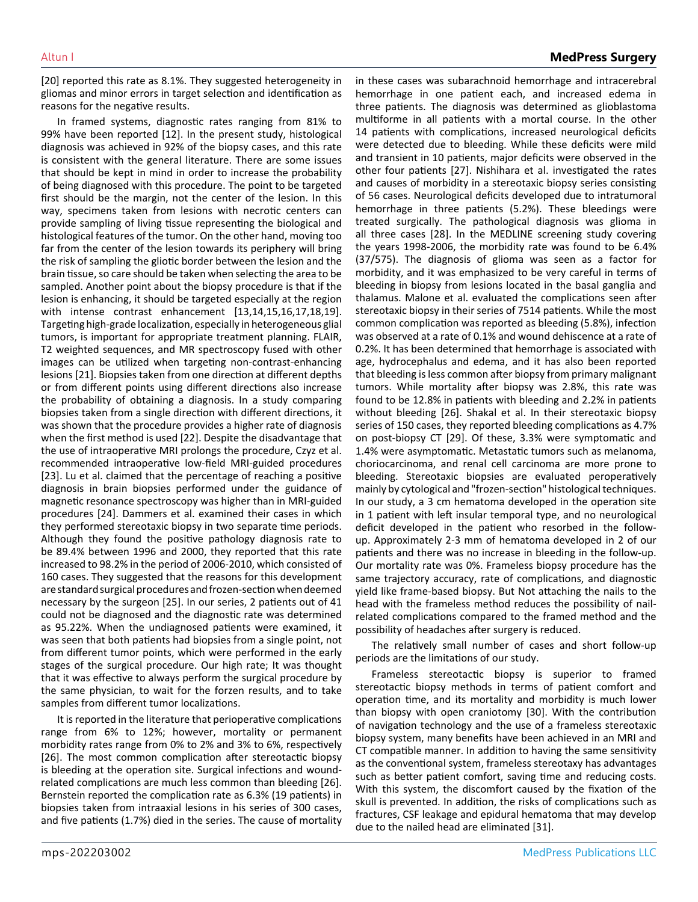[20] reported this rate as 8.1%. They suggested heterogeneity in gliomas and minor errors in target selection and identification as reasons for the negative results.

In framed systems, diagnostic rates ranging from 81% to 99% have been reported [12]. In the present study, histological diagnosis was achieved in 92% of the biopsy cases, and this rate is consistent with the general literature. There are some issues that should be kept in mind in order to increase the probability of being diagnosed with this procedure. The point to be targeted first should be the margin, not the center of the lesion. In this way, specimens taken from lesions with necrotic centers can provide sampling of living tissue representing the biological and histological features of the tumor. On the other hand, moving too far from the center of the lesion towards its periphery will bring the risk of sampling the gliotic border between the lesion and the brain tissue, so care should be taken when selecting the area to be sampled. Another point about the biopsy procedure is that if the lesion is enhancing, it should be targeted especially at the region with intense contrast enhancement [13,14,15,16,17,18,19]. Targeting high-grade localization, especially in heterogeneous glial tumors, is important for appropriate treatment planning. FLAIR, T2 weighted sequences, and MR spectroscopy fused with other images can be utilized when targeting non-contrast-enhancing lesions [21]. Biopsies taken from one direction at different depths or from different points using different directions also increase the probability of obtaining a diagnosis. In a study comparing biopsies taken from a single direction with different directions, it was shown that the procedure provides a higher rate of diagnosis when the first method is used [22]. Despite the disadvantage that the use of intraoperative MRI prolongs the procedure, Czyz et al. recommended intraoperative low-field MRI-guided procedures [23]. Lu et al. claimed that the percentage of reaching a positive diagnosis in brain biopsies performed under the guidance of magnetic resonance spectroscopy was higher than in MRI-guided procedures [24]. Dammers et al. examined their cases in which they performed stereotaxic biopsy in two separate time periods. Although they found the positive pathology diagnosis rate to be 89.4% between 1996 and 2000, they reported that this rate increased to 98.2% in the period of 2006-2010, which consisted of 160 cases. They suggested that the reasons for this development are standard surgical procedures and frozen-section when deemed necessary by the surgeon [25]. In our series, 2 patients out of 41 could not be diagnosed and the diagnostic rate was determined as 95.22%. When the undiagnosed patients were examined, it was seen that both patients had biopsies from a single point, not from different tumor points, which were performed in the early stages of the surgical procedure. Our high rate; It was thought that it was effective to always perform the surgical procedure by the same physician, to wait for the forzen results, and to take samples from different tumor localizations.

It is reported in the literature that perioperative complications range from 6% to 12%; however, mortality or permanent morbidity rates range from 0% to 2% and 3% to 6%, respectively [26]. The most common complication after stereotactic biopsy is bleeding at the operation site. Surgical infections and woundrelated complications are much less common than bleeding [26]. Bernstein reported the complication rate as 6.3% (19 patients) in biopsies taken from intraaxial lesions in his series of 300 cases, and five patients (1.7%) died in the series. The cause of mortality

in these cases was subarachnoid hemorrhage and intracerebral hemorrhage in one patient each, and increased edema in three patients. The diagnosis was determined as glioblastoma multiforme in all patients with a mortal course. In the other 14 patients with complications, increased neurological deficits were detected due to bleeding. While these deficits were mild and transient in 10 patients, major deficits were observed in the other four patients [27]. Nishihara et al. investigated the rates and causes of morbidity in a stereotaxic biopsy series consisting of 56 cases. Neurological deficits developed due to intratumoral hemorrhage in three patients (5.2%). These bleedings were treated surgically. The pathological diagnosis was glioma in all three cases [28]. In the MEDLINE screening study covering the years 1998-2006, the morbidity rate was found to be 6.4% (37/575). The diagnosis of glioma was seen as a factor for morbidity, and it was emphasized to be very careful in terms of bleeding in biopsy from lesions located in the basal ganglia and thalamus. Malone et al. evaluated the complications seen after stereotaxic biopsy in their series of 7514 patients. While the most common complication was reported as bleeding (5.8%), infection was observed at a rate of 0.1% and wound dehiscence at a rate of 0.2%. It has been determined that hemorrhage is associated with age, hydrocephalus and edema, and it has also been reported that bleeding is less common after biopsy from primary malignant tumors. While mortality after biopsy was 2.8%, this rate was found to be 12.8% in patients with bleeding and 2.2% in patients without bleeding [26]. Shakal et al. In their stereotaxic biopsy series of 150 cases, they reported bleeding complications as 4.7% on post-biopsy CT [29]. Of these, 3.3% were symptomatic and 1.4% were asymptomatic. Metastatic tumors such as melanoma, choriocarcinoma, and renal cell carcinoma are more prone to bleeding. Stereotaxic biopsies are evaluated peroperatively mainly by cytological and "frozen-section" histological techniques. In our study, a 3 cm hematoma developed in the operation site in 1 patient with left insular temporal type, and no neurological deficit developed in the patient who resorbed in the followup. Approximately 2-3 mm of hematoma developed in 2 of our patients and there was no increase in bleeding in the follow-up. Our mortality rate was 0%. Frameless biopsy procedure has the same trajectory accuracy, rate of complications, and diagnostic yield like frame-based biopsy. But Not attaching the nails to the head with the frameless method reduces the possibility of nailrelated complications compared to the framed method and the possibility of headaches after surgery is reduced.

The relatively small number of cases and short follow-up periods are the limitations of our study.

Frameless stereotactic biopsy is superior to framed stereotactic biopsy methods in terms of patient comfort and operation time, and its mortality and morbidity is much lower than biopsy with open craniotomy [30]. With the contribution of navigation technology and the use of a frameless stereotaxic biopsy system, many benefits have been achieved in an MRI and CT compatible manner. In addition to having the same sensitivity as the conventional system, frameless stereotaxy has advantages such as better patient comfort, saving time and reducing costs. With this system, the discomfort caused by the fixation of the skull is prevented. In addition, the risks of complications such as fractures, CSF leakage and epidural hematoma that may develop due to the nailed head are eliminated [31].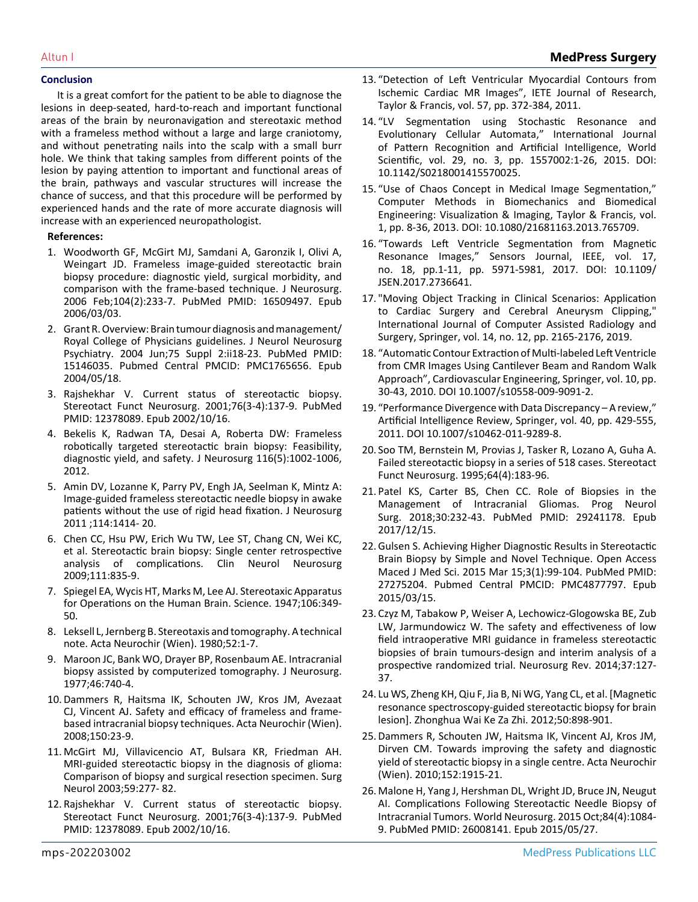### **Conclusion**

It is a great comfort for the patient to be able to diagnose the lesions in deep-seated, hard-to-reach and important functional areas of the brain by neuronavigation and stereotaxic method with a frameless method without a large and large craniotomy, and without penetrating nails into the scalp with a small burr hole. We think that taking samples from different points of the lesion by paying attention to important and functional areas of the brain, pathways and vascular structures will increase the chance of success, and that this procedure will be performed by experienced hands and the rate of more accurate diagnosis will increase with an experienced neuropathologist.

### **References:**

- 1. [Woodworth GF, McGirt MJ, Samdani A, Garonzik I, Olivi A,](https://pubmed.ncbi.nlm.nih.gov/16509497/) [Weingart JD. Frameless image-guided stereotactic brain](https://pubmed.ncbi.nlm.nih.gov/16509497/)  [biopsy procedure: diagnostic yield, surgical morbidity, and](https://pubmed.ncbi.nlm.nih.gov/16509497/)  [comparison with the frame-based technique. J Neurosurg.](https://pubmed.ncbi.nlm.nih.gov/16509497/) [2006 Feb;104\(2\):233-7. PubMed PMID: 16509497. Epub](https://pubmed.ncbi.nlm.nih.gov/16509497/)  [2006/03/03.](https://pubmed.ncbi.nlm.nih.gov/16509497/)
- 2. [Grant R. Overview: Brain tumour diagnosis and management/](https://www.ncbi.nlm.nih.gov/pmc/articles/PMC1765656/) [Royal College of Physicians guidelines. J Neurol Neurosurg](https://www.ncbi.nlm.nih.gov/pmc/articles/PMC1765656/) [Psychiatry. 2004 Jun;75 Suppl 2:ii18-23. PubMed PMID:](https://www.ncbi.nlm.nih.gov/pmc/articles/PMC1765656/) [15146035. Pubmed Central PMCID: PMC1765656. Epub](https://www.ncbi.nlm.nih.gov/pmc/articles/PMC1765656/)  [2004/05/18.](https://www.ncbi.nlm.nih.gov/pmc/articles/PMC1765656/)
- 3. [Rajshekhar V. Current status of stereotactic biopsy.](https://pubmed.ncbi.nlm.nih.gov/12378089/)  [Stereotact Funct Neurosurg. 2001;76\(3-4\):137-9. PubMed](https://pubmed.ncbi.nlm.nih.gov/12378089/)  [PMID: 12378089. Epub 2002/10/16.](https://pubmed.ncbi.nlm.nih.gov/12378089/)
- 4. [Bekelis K, Radwan TA, Desai A, Roberta DW: Frameless](https://pubmed.ncbi.nlm.nih.gov/22404667/#:~:text=Results%3A The mean operative time,in the single nondiagnostic case.)  [robotically targeted stereotactic brain biopsy: Feasibility,](https://pubmed.ncbi.nlm.nih.gov/22404667/#:~:text=Results%3A The mean operative time,in the single nondiagnostic case.)  [diagnostic yield, and safety. J Neurosurg 116\(5\):1002-1006,](https://pubmed.ncbi.nlm.nih.gov/22404667/#:~:text=Results%3A The mean operative time,in the single nondiagnostic case.) [2012.](https://pubmed.ncbi.nlm.nih.gov/22404667/#:~:text=Results%3A The mean operative time,in the single nondiagnostic case.)
- 5. [Amin DV, Lozanne K, Parry PV, Engh JA, Seelman K, Mintz A:](https://pubmed.ncbi.nlm.nih.gov/20722608/) [Image-guided frameless stereotactic needle biopsy in awake](https://pubmed.ncbi.nlm.nih.gov/20722608/) [patients without the use of rigid head fixation. J Neurosurg](https://pubmed.ncbi.nlm.nih.gov/20722608/) [2011 ;114:1414- 20.](https://pubmed.ncbi.nlm.nih.gov/20722608/)
- 6. [Chen CC, Hsu PW, Erich Wu TW, Lee ST, Chang CN, Wei KC,](https://pubmed.ncbi.nlm.nih.gov/19765887/) [et al. Stereotactic brain biopsy: Single center retrospective](https://pubmed.ncbi.nlm.nih.gov/19765887/) [analysis of complications. Clin Neurol Neurosurg](https://pubmed.ncbi.nlm.nih.gov/19765887/) [2009;111:835-9.](https://pubmed.ncbi.nlm.nih.gov/19765887/)
- 7. [Spiegel EA, Wycis HT, Marks M, Lee AJ. Stereotaxic Apparatus](https://pubmed.ncbi.nlm.nih.gov/17777432/)  [for Operations on the Human Brain. Science. 1947;106:349-](https://pubmed.ncbi.nlm.nih.gov/17777432/) [50.](https://pubmed.ncbi.nlm.nih.gov/17777432/)
- 8. [Leksell L, Jernberg B. Stereotaxis and tomography. A technical](https://pubmed.ncbi.nlm.nih.gov/6990697/)  [note. Acta Neurochir \(Wien\). 1980;52:1-7.](https://pubmed.ncbi.nlm.nih.gov/6990697/)
- 9. [Maroon JC, Bank WO, Drayer BP, Rosenbaum AE. Intracranial](https://thejns.org/view/journals/j-neurosurg/46/6/article-p740.xml)  [biopsy assisted by computerized tomography. J Neurosurg.](https://thejns.org/view/journals/j-neurosurg/46/6/article-p740.xml) [1977;46:740-4.](https://thejns.org/view/journals/j-neurosurg/46/6/article-p740.xml)
- 10.[Dammers R, Haitsma IK, Schouten JW, Kros JM, Avezaat](https://pubmed.ncbi.nlm.nih.gov/18172567/#:~:text=There was not a difference,risk of biopsy%2Drelated death.) [CJ, Vincent AJ. Safety and efficacy of frameless and frame](https://pubmed.ncbi.nlm.nih.gov/18172567/#:~:text=There was not a difference,risk of biopsy%2Drelated death.)[based intracranial biopsy techniques. Acta Neurochir \(Wien\).](https://pubmed.ncbi.nlm.nih.gov/18172567/#:~:text=There was not a difference,risk of biopsy%2Drelated death.)  [2008;150:23-9.](https://pubmed.ncbi.nlm.nih.gov/18172567/#:~:text=There was not a difference,risk of biopsy%2Drelated death.)
- 11. [McGirt MJ, Villavicencio AT, Bulsara KR, Friedman AH.](https://pubmed.ncbi.nlm.nih.gov/12748009/)  [MRI-guided stereotactic biopsy in the diagnosis of glioma:](https://pubmed.ncbi.nlm.nih.gov/12748009/)  [Comparison of biopsy and surgical resection specimen. Surg](https://pubmed.ncbi.nlm.nih.gov/12748009/)  [Neurol 2003;59:277- 82.](https://pubmed.ncbi.nlm.nih.gov/12748009/)
- 12. [Rajshekhar V. Current status of stereotactic biopsy.](https://pubmed.ncbi.nlm.nih.gov/12378089/)  [Stereotact Funct Neurosurg. 2001;76\(3-4\):137-9. PubMed](https://pubmed.ncbi.nlm.nih.gov/12378089/)  [PMID: 12378089. Epub 2002/10/16.](https://pubmed.ncbi.nlm.nih.gov/12378089/)
- 13. ["Detection of Left Ventricular Myocardial Contours from](https://www.tandfonline.com/doi/abs/10.4103/0377-2063.86338)  [Ischemic Cardiac MR Images", IETE Journal of Research,](https://www.tandfonline.com/doi/abs/10.4103/0377-2063.86338) [Taylor & Francis, vol. 57, pp. 372-384, 2011.](https://www.tandfonline.com/doi/abs/10.4103/0377-2063.86338)
- 14. ["LV Segmentation using Stochastic Resonance and](https://www.worldscientific.com/doi/10.1142/S0218001415570025)  [Evolutionary Cellular Automata," International Journal](https://www.worldscientific.com/doi/10.1142/S0218001415570025)  [of Pattern Recognition and Artificial Intelligence, World](https://www.worldscientific.com/doi/10.1142/S0218001415570025)  [Scientific, vol. 29, no. 3, pp. 1557002:1-26, 2015. DOI:](https://www.worldscientific.com/doi/10.1142/S0218001415570025)  [10.1142/S0218001415570025.](https://www.worldscientific.com/doi/10.1142/S0218001415570025)
- 15. ["Use of Chaos Concept in Medical Image Segmentation,"](https://www.tandfonline.com/doi/abs/10.1080/21681163.2013.765709)  [Computer Methods in Biomechanics and Biomedical](https://www.tandfonline.com/doi/abs/10.1080/21681163.2013.765709)  [Engineering: Visualization & Imaging, Taylor & Francis, vol.](https://www.tandfonline.com/doi/abs/10.1080/21681163.2013.765709)  [1, pp. 8-36, 2013. DOI: 10.1080/21681163.2013.765709.](https://www.tandfonline.com/doi/abs/10.1080/21681163.2013.765709)
- 16. ["Towards Left Ventricle Segmentation from Magnetic](https://ieeexplore.ieee.org/document/8003290) [Resonance Images," Sensors Journal, IEEE, vol. 17,](https://ieeexplore.ieee.org/document/8003290) [no. 18, pp.1-11, pp. 5971-5981, 2017. DOI: 10.1109/](https://ieeexplore.ieee.org/document/8003290) [JSEN.2017.2736641.](https://ieeexplore.ieee.org/document/8003290)
- 17. ["Moving Object Tracking in Clinical Scenarios: Application](https://pubmed.ncbi.nlm.nih.gov/31309385/)  [to Cardiac Surgery and Cerebral Aneurysm Clipping,"](https://pubmed.ncbi.nlm.nih.gov/31309385/)  [International Journal of Computer Assisted Radiology and](https://pubmed.ncbi.nlm.nih.gov/31309385/)  [Surgery, Springer, vol. 14, no. 12, pp. 2165-2176, 2019.](https://pubmed.ncbi.nlm.nih.gov/31309385/)
- 18. ["Automatic Contour Extraction of Multi-labeled Left Ventricle](https://pubmed.ncbi.nlm.nih.gov/20082140/)  [from CMR Images Using Cantilever Beam and Random Walk](https://pubmed.ncbi.nlm.nih.gov/20082140/)  [Approach", Cardiovascular Engineering, Springer, vol. 10, pp.](https://pubmed.ncbi.nlm.nih.gov/20082140/)  [30-43, 2010. DOI 10.1007/s10558-009-9091-2.](https://pubmed.ncbi.nlm.nih.gov/20082140/)
- 19. ["Performance Divergence with Data Discrepancy A review,"](https://link.springer.com/article/10.1007/s10462-011-9289-8) [Artificial Intelligence Review, Springer, vol. 40, pp. 429-555,](https://link.springer.com/article/10.1007/s10462-011-9289-8) [2011. DOI 10.1007/s10462-011-9289-8.](https://link.springer.com/article/10.1007/s10462-011-9289-8)
- 20. [Soo TM, Bernstein M, Provias J, Tasker R, Lozano A, Guha A.](https://pubmed.ncbi.nlm.nih.gov/8817805/#:~:text=Abstract,%25) cases were failed biopsies.)  [Failed stereotactic biopsy in a series of 518 cases. Stereotact](https://pubmed.ncbi.nlm.nih.gov/8817805/#:~:text=Abstract,%25) cases were failed biopsies.) [Funct Neurosurg. 1995;64\(4\):183-96.](https://pubmed.ncbi.nlm.nih.gov/8817805/#:~:text=Abstract,%25) cases were failed biopsies.)
- 21. [Patel KS, Carter BS, Chen CC. Role of Biopsies in the](https://pubmed.ncbi.nlm.nih.gov/29241178/)  [Management of Intracranial Gliomas. Prog Neurol](https://pubmed.ncbi.nlm.nih.gov/29241178/)  [Surg. 2018;30:232-43. PubMed PMID: 29241178. Epub](https://pubmed.ncbi.nlm.nih.gov/29241178/)  [2017/12/15.](https://pubmed.ncbi.nlm.nih.gov/29241178/)
- 22.[Gulsen S. Achieving Higher Diagnostic Results in Stereotactic](https://pubmed.ncbi.nlm.nih.gov/27275204/) [Brain Biopsy by Simple and Novel Technique. Open Access](https://pubmed.ncbi.nlm.nih.gov/27275204/) [Maced J Med Sci. 2015 Mar 15;3\(1\):99-104. PubMed PMID:](https://pubmed.ncbi.nlm.nih.gov/27275204/) [27275204. Pubmed Central PMCID: PMC4877797. Epub](https://pubmed.ncbi.nlm.nih.gov/27275204/)  [2015/03/15.](https://pubmed.ncbi.nlm.nih.gov/27275204/)
- 23. [Czyz M, Tabakow P, Weiser A, Lechowicz-Glogowska BE, Zub](https://pubmed.ncbi.nlm.nih.gov/23821131/)  [LW, Jarmundowicz W. The safety and effectiveness of low](https://pubmed.ncbi.nlm.nih.gov/23821131/)  [field intraoperative MRI guidance in frameless stereotactic](https://pubmed.ncbi.nlm.nih.gov/23821131/) [biopsies of brain tumours-design and interim analysis of a](https://pubmed.ncbi.nlm.nih.gov/23821131/)  [prospective randomized trial. Neurosurg Rev. 2014;37:127-](https://pubmed.ncbi.nlm.nih.gov/23821131/) [37.](https://pubmed.ncbi.nlm.nih.gov/23821131/)
- 24. Lu WS, Zheng KH, Qiu F, Jia B, Ni WG, Yang CL, et al. [Magnetic resonance spectroscopy-guided stereotactic biopsy for brain lesion]. Zhonghua Wai Ke Za Zhi. 2012;50:898-901.
- 25.[Dammers R, Schouten JW, Haitsma IK, Vincent AJ, Kros JM,](https://pubmed.ncbi.nlm.nih.gov/20680649/) [Dirven CM. Towards improving the safety and diagnostic](https://pubmed.ncbi.nlm.nih.gov/20680649/)  [yield of stereotactic biopsy in a single centre. Acta Neurochir](https://pubmed.ncbi.nlm.nih.gov/20680649/)  [\(Wien\). 2010;152:1915-21.](https://pubmed.ncbi.nlm.nih.gov/20680649/)
- 26. [Malone H, Yang J, Hershman DL, Wright JD, Bruce JN, Neugut](https://pubmed.ncbi.nlm.nih.gov/26008141/#:~:text=Intracranial hemorrhage was the most,(0.2%25)%2C were rare.) [AI. Complications Following Stereotactic Needle Biopsy of](https://pubmed.ncbi.nlm.nih.gov/26008141/#:~:text=Intracranial hemorrhage was the most,(0.2%25)%2C were rare.)  [Intracranial Tumors. World Neurosurg. 2015 Oct;84\(4\):1084-](https://pubmed.ncbi.nlm.nih.gov/26008141/#:~:text=Intracranial hemorrhage was the most,(0.2%25)%2C were rare.) [9. PubMed PMID: 26008141. Epub 2015/05/27.](https://pubmed.ncbi.nlm.nih.gov/26008141/#:~:text=Intracranial hemorrhage was the most,(0.2%25)%2C were rare.)